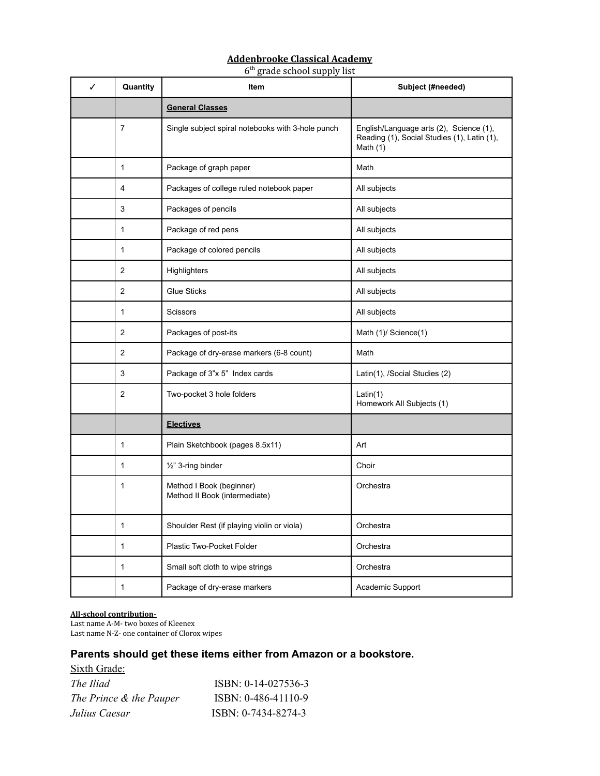# **Addenbrooke Classical Academy**

6 th grade school supply list

| ✓ | Quantity       | Item                                                      | Subject (#needed)                                                                                    |
|---|----------------|-----------------------------------------------------------|------------------------------------------------------------------------------------------------------|
|   |                | <b>General Classes</b>                                    |                                                                                                      |
|   | $\overline{7}$ | Single subject spiral notebooks with 3-hole punch         | English/Language arts (2), Science (1),<br>Reading (1), Social Studies (1), Latin (1),<br>Math $(1)$ |
|   | 1              | Package of graph paper                                    | Math                                                                                                 |
|   | 4              | Packages of college ruled notebook paper                  | All subjects                                                                                         |
|   | 3              | Packages of pencils                                       | All subjects                                                                                         |
|   | 1              | Package of red pens                                       | All subjects                                                                                         |
|   | 1              | Package of colored pencils                                | All subjects                                                                                         |
|   | 2              | Highlighters                                              | All subjects                                                                                         |
|   | $\overline{2}$ | <b>Glue Sticks</b>                                        | All subjects                                                                                         |
|   | 1              | Scissors                                                  | All subjects                                                                                         |
|   | 2              | Packages of post-its                                      | Math (1)/ Science(1)                                                                                 |
|   | $\overline{2}$ | Package of dry-erase markers (6-8 count)                  | Math                                                                                                 |
|   | 3              | Package of 3"x 5" Index cards                             | Latin(1), /Social Studies (2)                                                                        |
|   | 2              | Two-pocket 3 hole folders                                 | Latin(1)<br>Homework All Subjects (1)                                                                |
|   |                | <b>Electives</b>                                          |                                                                                                      |
|   | $\mathbf{1}$   | Plain Sketchbook (pages 8.5x11)                           | Art                                                                                                  |
|   | 1              | 1/2" 3-ring binder                                        | Choir                                                                                                |
|   | 1              | Method I Book (beginner)<br>Method II Book (intermediate) | Orchestra                                                                                            |
|   | 1              | Shoulder Rest (if playing violin or viola)                | Orchestra                                                                                            |
|   | 1              | Plastic Two-Pocket Folder                                 | Orchestra                                                                                            |
|   | $\mathbf{1}$   | Small soft cloth to wipe strings                          | Orchestra                                                                                            |
|   | 1              | Package of dry-erase markers                              | Academic Support                                                                                     |

#### **All-school contribution-**

Last name A-M- two boxes of Kleenex Last name N-Z- one container of Clorox wipes

# **Parents should get these items either from Amazon or a bookstore.**

Sixth Grade:

| The Iliad               | $ISBN: 0-14-027536-3$ |
|-------------------------|-----------------------|
| The Prince & the Pauper | $ISBN: 0-486-41110-9$ |
| Julius Caesar           | ISBN: 0-7434-8274-3   |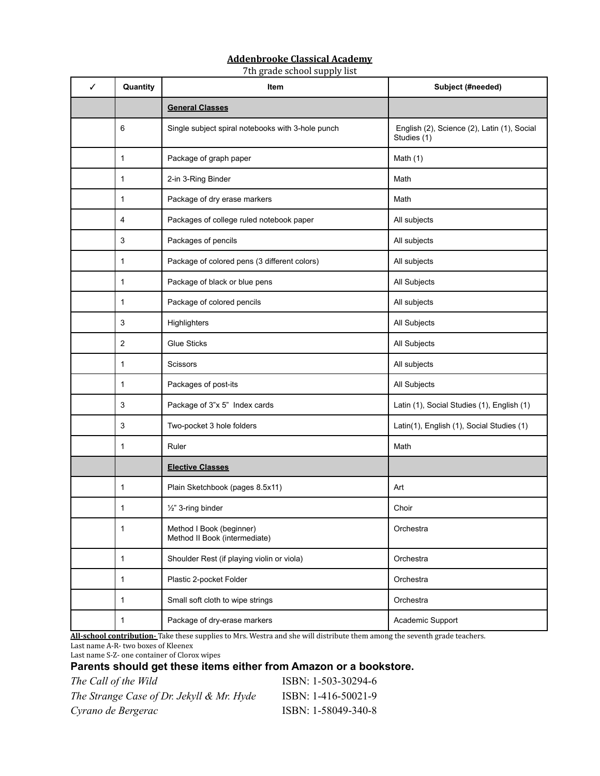### **Addenbrooke Classical Academy**

7th grade school supply list

| ✓ | Quantity     | Item                                                      | Subject (#needed)                                          |
|---|--------------|-----------------------------------------------------------|------------------------------------------------------------|
|   |              | <b>General Classes</b>                                    |                                                            |
|   | 6            | Single subject spiral notebooks with 3-hole punch         | English (2), Science (2), Latin (1), Social<br>Studies (1) |
|   | 1            | Package of graph paper                                    | Math $(1)$                                                 |
|   | 1            | 2-in 3-Ring Binder                                        | Math                                                       |
|   | 1            | Package of dry erase markers                              | Math                                                       |
|   | 4            | Packages of college ruled notebook paper                  | All subjects                                               |
|   | 3            | Packages of pencils                                       | All subjects                                               |
|   | 1            | Package of colored pens (3 different colors)              | All subjects                                               |
|   | 1            | Package of black or blue pens                             | All Subjects                                               |
|   | 1            | Package of colored pencils                                | All subjects                                               |
|   | 3            | Highlighters                                              | All Subjects                                               |
|   | 2            | <b>Glue Sticks</b>                                        | All Subjects                                               |
|   | 1            | Scissors                                                  | All subjects                                               |
|   | 1            | Packages of post-its                                      | All Subjects                                               |
|   | 3            | Package of 3"x 5" Index cards                             | Latin (1), Social Studies (1), English (1)                 |
|   | 3            | Two-pocket 3 hole folders                                 | Latin(1), English (1), Social Studies (1)                  |
|   | 1            | Ruler                                                     | Math                                                       |
|   |              | <b>Elective Classes</b>                                   |                                                            |
|   | 1            | Plain Sketchbook (pages 8.5x11)                           | Art                                                        |
|   | 1            | 1/2" 3-ring binder                                        | Choir                                                      |
|   | 1            | Method I Book (beginner)<br>Method II Book (intermediate) | Orchestra                                                  |
|   | $\mathbf{1}$ | Shoulder Rest (if playing violin or viola)                | Orchestra                                                  |
|   | 1            | Plastic 2-pocket Folder                                   | Orchestra                                                  |
|   | $\mathbf{1}$ | Small soft cloth to wipe strings                          | Orchestra                                                  |
|   | $\mathbf{1}$ | Package of dry-erase markers                              | Academic Support                                           |

**All-school contribution-** Take these supplies to Mrs. Westra and she will distribute them among the seventh grade teachers. Last name A-R- two boxes of Kleenex

Last name S-Z- one container of Clorox wipes

### **Parents should get these items either from Amazon or a bookstore.**

| The Call of the Wild                      | ISBN: 1-503-30294-6 |
|-------------------------------------------|---------------------|
| The Strange Case of Dr. Jekyll & Mr. Hyde | ISBN: 1-416-50021-9 |
| Cyrano de Bergerac                        | ISBN: 1-58049-340-8 |